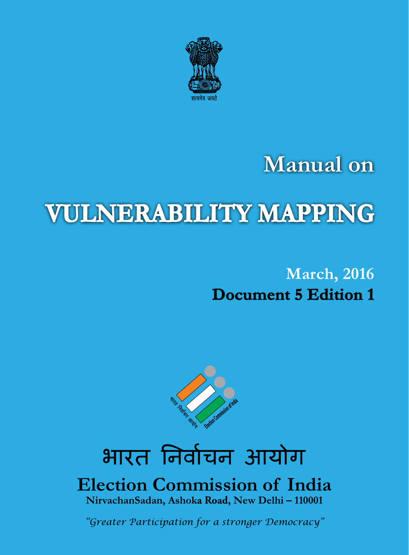

# **Manual on**

# **Vulnerability Mapping**

### **March, 2016 Document 5 Edition 1**



# भारत निर्वाचन आयोग

### **Election Commission of India NirvachanSadan, Ashoka Road, New Delhi – 110001**

*"Greater Participation for a stronger Democracy"*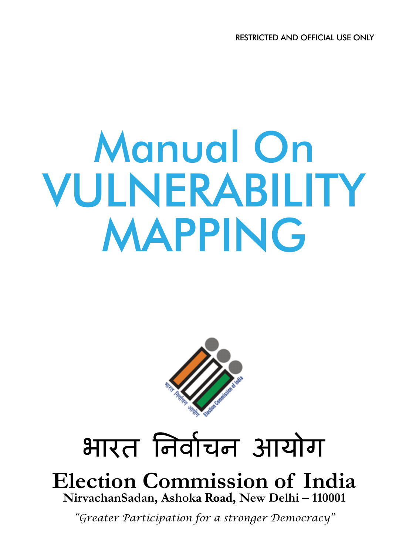# Manual On VULNERABILITY MAPPING



# भारत निर्वाचन आयोग

**Election Commission of India NirvachanSadan, Ashoka Road, New Delhi – 110001**

*"Greater Participation for a stronger Democracy"*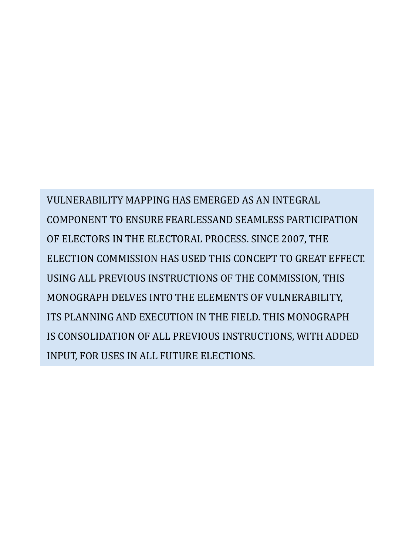VULNERABILITY MAPPING HAS EMERGED AS AN INTEGRAL COMPONENT TO ENSURE FEARLESSAND SEAMLESS PARTICIPATION OF ELECTORS IN THE ELECTORAL PROCESS. SINCE 2007, THE ELECTION COMMISSION HAS USED THIS CONCEPT TO GREAT EFFECT. USING ALL PREVIOUS INSTRUCTIONS OF THE COMMISSION, THIS MONOGRAPH DELVES INTO THE ELEMENTS OF VULNERABILITY, ITS PLANNING AND EXECUTION IN THE FIELD. THIS MONOGRAPH IS CONSOLIDATION OF ALL PREVIOUS INSTRUCTIONS, WITH ADDED INPUT, FOR USES IN ALL FUTURE ELECTIONS.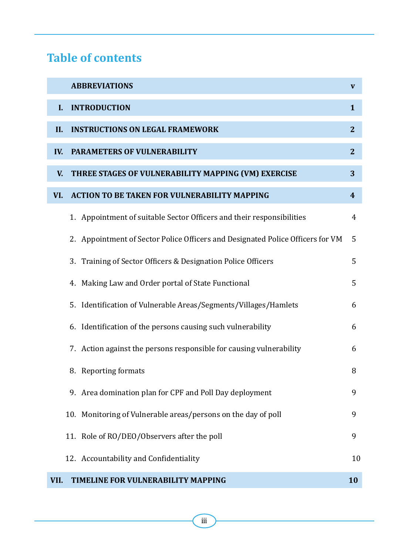### **Table of contents**

|      | <b>ABBREVIATIONS</b>                                                           | V              |
|------|--------------------------------------------------------------------------------|----------------|
| L    | <b>INTRODUCTION</b>                                                            | 1              |
| П.   | <b>INSTRUCTIONS ON LEGAL FRAMEWORK</b>                                         | $\mathbf{2}$   |
| IV.  | PARAMETERS OF VULNERABILITY                                                    | $\overline{2}$ |
| V.   | THREE STAGES OF VULNERABILITY MAPPING (VM) EXERCISE                            | 3              |
| VI.  | <b>ACTION TO BE TAKEN FOR VULNERABILITY MAPPING</b>                            | 4              |
|      | 1. Appointment of suitable Sector Officers and their responsibilities          | 4              |
|      | 2. Appointment of Sector Police Officers and Designated Police Officers for VM | 5              |
|      | 3. Training of Sector Officers & Designation Police Officers                   | 5              |
|      | 4. Making Law and Order portal of State Functional                             | 5              |
|      | 5. Identification of Vulnerable Areas/Segments/Villages/Hamlets                | 6              |
|      | 6. Identification of the persons causing such vulnerability                    | 6              |
|      | 7. Action against the persons responsible for causing vulnerability            | 6              |
|      | 8. Reporting formats                                                           | 8              |
|      | 9. Area domination plan for CPF and Poll Day deployment                        | 9              |
|      | 10. Monitoring of Vulnerable areas/persons on the day of poll                  | 9              |
|      | 11. Role of RO/DEO/Observers after the poll                                    | 9              |
|      | 12. Accountability and Confidentiality                                         | 10             |
| VII. | TIMELINE FOR VULNERABILITY MAPPING                                             | 10             |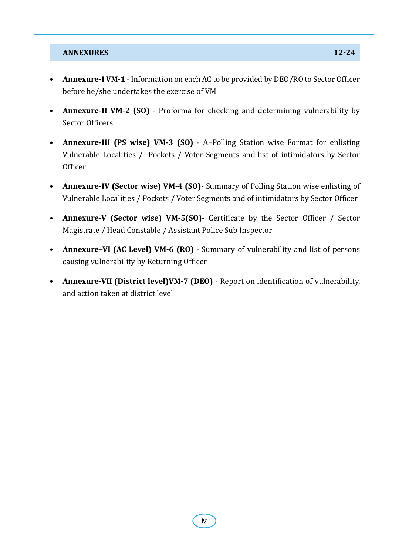#### *ANNEXURES* **12-24**

- • **Annexure-I VM-1** Information on each AC to be provided by DEO/RO to Sector Officer before he/she undertakes the exercise of VM
- • **Annexure-II VM-2 (SO)** Proforma for checking and determining vulnerability by Sector Officers
- • **Annexure-III (PS wise) VM-3 (SO)** A–Polling Station wise Format for enlisting Vulnerable Localities / Pockets / Voter Segments and list of intimidators by Sector **Officer**
- • **Annexure-IV (Sector wise) VM-4 (SO)** Summary of Polling Station wise enlisting of Vulnerable Localities / Pockets / Voter Segments and of intimidators by Sector Officer
- • **Annexure-V (Sector wise) VM-5(SO)** Certificate by the Sector Officer / Sector Magistrate / Head Constable / Assistant Police Sub Inspector
- **Annexure-VI (AC Level) VM-6 (RO)** Summary of vulnerability and list of persons causing vulnerability by Returning Officer
- • **Annexure-VII (District level)VM-7 (DEO)** Report on identification of vulnerability, and action taken at district level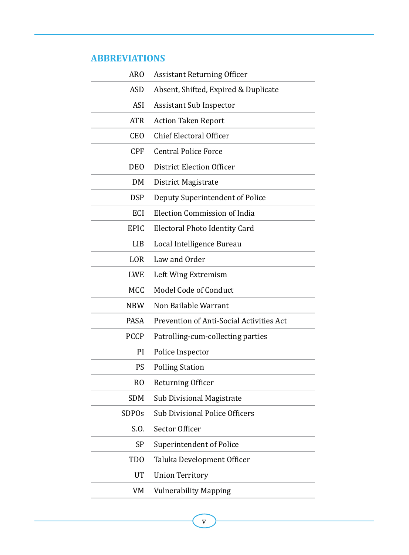#### **ABBREVIATIONS**

| <b>ARO</b>       | <b>Assistant Returning Officer</b>       |
|------------------|------------------------------------------|
| ASD              | Absent, Shifted, Expired & Duplicate     |
| ASI              | <b>Assistant Sub Inspector</b>           |
| <b>ATR</b>       | <b>Action Taken Report</b>               |
| <b>CEO</b>       | <b>Chief Electoral Officer</b>           |
| <b>CPF</b>       | <b>Central Police Force</b>              |
| <b>DEO</b>       | District Election Officer                |
| DM.              | District Magistrate                      |
| <b>DSP</b>       | Deputy Superintendent of Police          |
| ECI              | Election Commission of India             |
| EPIC             | Electoral Photo Identity Card            |
| LIB              | Local Intelligence Bureau                |
| LOR.             | Law and Order                            |
| LWE              | Left Wing Extremism                      |
|                  |                                          |
| MCC              | Model Code of Conduct                    |
| NBW.             | Non Bailable Warrant                     |
| PASA             | Prevention of Anti-Social Activities Act |
| <b>PCCP</b>      | Patrolling-cum-collecting parties        |
| РI               | Police Inspector                         |
| PS               | <b>Polling Station</b>                   |
| R <sub>O</sub>   | Returning Officer                        |
| SDM              | Sub Divisional Magistrate                |
| <b>SDPOs</b>     | <b>Sub Divisional Police Officers</b>    |
| S.O.             | Sector Officer                           |
| SP               | Superintendent of Police                 |
| T <sub>D</sub> O | Taluka Development Officer               |
| UT               | <b>Union Territory</b>                   |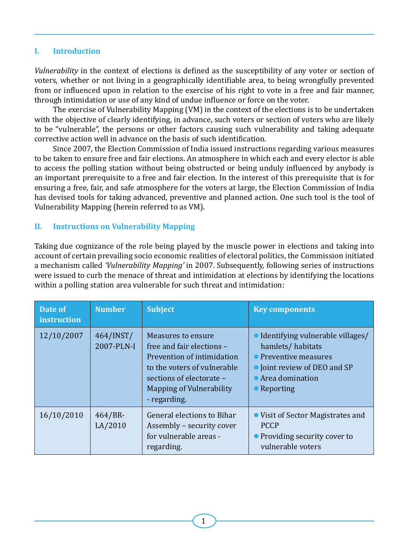#### **I. Introduction**

*Vulnerability* in the context of elections is defined as the susceptibility of any voter or section of voters, whether or not living in a geographically identifiable area, to being wrongfully prevented from or influenced upon in relation to the exercise of his right to vote in a free and fair manner, through intimidation or use of any kind of undue influence or force on the voter.

The exercise of Vulnerability Mapping (VM) in the context of the elections is to be undertaken with the objective of clearly identifying, in advance, such voters or section of voters who are likely to be "vulnerable", the persons or other factors causing such vulnerability and taking adequate corrective action well in advance on the basis of such identification.

Since 2007, the Election Commission of India issued instructions regarding various measures to be taken to ensure free and fair elections. An atmosphere in which each and every elector is able to access the polling station without being obstructed or being unduly influenced by anybody is an important prerequisite to a free and fair election. In the interest of this prerequisite that is for ensuring a free, fair, and safe atmosphere for the voters at large, the Election Commission of India has devised tools for taking advanced, preventive and planned action. One such tool is the tool of Vulnerability Mapping (herein referred to as VM).

#### **Ii. Instructions on Vulnerability Mapping**

Taking due cognizance of the role being played by the muscle power in elections and taking into account of certain prevailing socio economic realities of electoral politics, the Commission initiated a mechanism called *'Vulnerability Mapping'* in 2007. Subsequently, following series of instructions were issued to curb the menace of threat and intimidation at elections by identifying the locations within a polling station area vulnerable for such threat and intimidation:

| Date of<br><i>instruction</i> | <b>Number</b>           | <b>Subject</b>                                                                                                                                                                                     | <b>Key components</b>                                                                                                                                       |
|-------------------------------|-------------------------|----------------------------------------------------------------------------------------------------------------------------------------------------------------------------------------------------|-------------------------------------------------------------------------------------------------------------------------------------------------------------|
| 12/10/2007                    | 464/INST/<br>2007-PLN-I | <b>Measures to ensure</b><br>free and fair elections -<br>Prevention of intimidation<br>to the voters of vulnerable<br>sections of electorate -<br><b>Mapping of Vulnerability</b><br>- regarding. | • Identifying vulnerable villages/<br>hamlets/habitats<br>• Preventive measures<br>• Joint review of DEO and SP<br>• Area domination<br>$\bullet$ Reporting |
| 16/10/2010                    | 464/BR<br>LA/2010       | General elections to Bihar<br>Assembly - security cover<br>for vulnerable areas -<br>regarding.                                                                                                    | • Visit of Sector Magistrates and<br><b>PCCP</b><br>• Providing security cover to<br>vulnerable voters                                                      |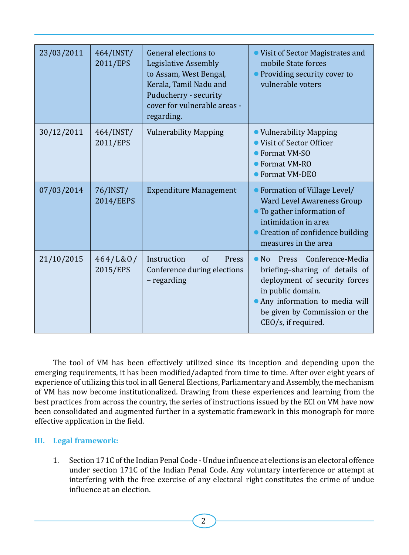| 23/03/2011 | 464/INST/<br>2011/EPS | General elections to<br>Legislative Assembly<br>to Assam, West Bengal,<br>Kerala, Tamil Nadu and<br>Puducherry - security<br>cover for vulnerable areas -<br>regarding. | • Visit of Sector Magistrates and<br>mobile State forces<br>• Providing security cover to<br>vulnerable voters                                                                                                               |
|------------|-----------------------|-------------------------------------------------------------------------------------------------------------------------------------------------------------------------|------------------------------------------------------------------------------------------------------------------------------------------------------------------------------------------------------------------------------|
| 30/12/2011 | 464/INST/<br>2011/EPS | <b>Vulnerability Mapping</b>                                                                                                                                            | • Vulnerability Mapping<br>• Visit of Sector Officer<br>$\blacktriangleright$ Format VM-SO<br>• Format VM-RO<br>● Format VM-DEO                                                                                              |
| 07/03/2014 | 76/INST/<br>2014/EEPS | <b>Expenditure Management</b>                                                                                                                                           | • Formation of Village Level/<br>Ward Level Awareness Group<br>• To gather information of<br>intimidation in area<br>• Creation of confidence building<br>measures in the area                                               |
| 21/10/2015 | 464/L&0/<br>2015/EPS  | Instruction<br>$\alpha$ f<br>Press<br>Conference during elections<br>- regarding                                                                                        | Conference-Media<br>Press<br>$\bullet$ No<br>briefing-sharing of details of<br>deployment of security forces<br>in public domain.<br>• Any information to media will<br>be given by Commission or the<br>CEO/s, if required. |

The tool of VM has been effectively utilized since its inception and depending upon the emerging requirements, it has been modified/adapted from time to time. After over eight years of experience of utilizing this tool in all General Elections, Parliamentary and Assembly, the mechanism of VM has now become institutionalized. Drawing from these experiences and learning from the best practices from across the country, the series of instructions issued by the ECI on VM have now been consolidated and augmented further in a systematic framework in this monograph for more effective application in the field.

#### **III. Legal framework:**

1. Section 171C of the Indian Penal Code - Undue influence at elections is an electoral offence under section 171C of the Indian Penal Code. Any voluntary interference or attempt at interfering with the free exercise of any electoral right constitutes the crime of undue influence at an election.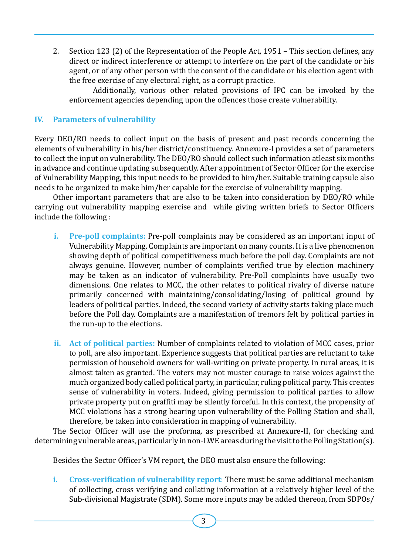2. Section 123 (2) of the Representation of the People Act, 1951 – This section defines, any direct or indirect interference or attempt to interfere on the part of the candidate or his agent, or of any other person with the consent of the candidate or his election agent with the free exercise of any electoral right, as a corrupt practice.

 Additionally, various other related provisions of IPC can be invoked by the enforcement agencies depending upon the offences those create vulnerability.

#### **IV. Parameters of vulnerability**

Every DEO/RO needs to collect input on the basis of present and past records concerning the elements of vulnerability in his/her district/constituency. Annexure-I provides a set of parameters to collect the input on vulnerability. The DEO/RO should collect such information atleast six months in advance and continue updating subsequently. After appointment of Sector Officer for the exercise of Vulnerability Mapping, this input needs to be provided to him/her. Suitable training capsule also needs to be organized to make him/her capable for the exercise of vulnerability mapping.

Other important parameters that are also to be taken into consideration by DEO/RO while carrying out vulnerability mapping exercise and while giving written briefs to Sector Officers include the following :

- **i. Pre-poll complaints:** Pre-poll complaints may be considered as an important input of Vulnerability Mapping. Complaints are important on many counts. It is a live phenomenon showing depth of political competitiveness much before the poll day. Complaints are not always genuine. However, number of complaints verified true by election machinery may be taken as an indicator of vulnerability. Pre-Poll complaints have usually two dimensions. One relates to MCC, the other relates to political rivalry of diverse nature primarily concerned with maintaining/consolidating/losing of political ground by leaders of political parties. Indeed, the second variety of activity starts taking place much before the Poll day. Complaints are a manifestation of tremors felt by political parties in the run-up to the elections.
- **ii. Act of political parties:** Number of complaints related to violation of MCC cases, prior to poll, are also important. Experience suggests that political parties are reluctant to take permission of household owners for wall-writing on private property. In rural areas, it is almost taken as granted. The voters may not muster courage to raise voices against the much organized body called political party, in particular, ruling political party. This creates sense of vulnerability in voters. Indeed, giving permission to political parties to allow private property put on graffiti may be silently forceful. In this context, the propensity of MCC violations has a strong bearing upon vulnerability of the Polling Station and shall, therefore, be taken into consideration in mapping of vulnerability.

The Sector Officer will use the proforma, as prescribed at Annexure-II, for checking and determining vulnerable areas, particularly in non-LWE areas during the visit to the Polling Station(s).

Besides the Sector Officer's VM report, the DEO must also ensure the following:

**i. Cross-verification of vulnerability report**: There must be some additional mechanism of collecting, cross verifying and collating information at a relatively higher level of the Sub-divisional Magistrate (SDM). Some more inputs may be added thereon, from SDPOs/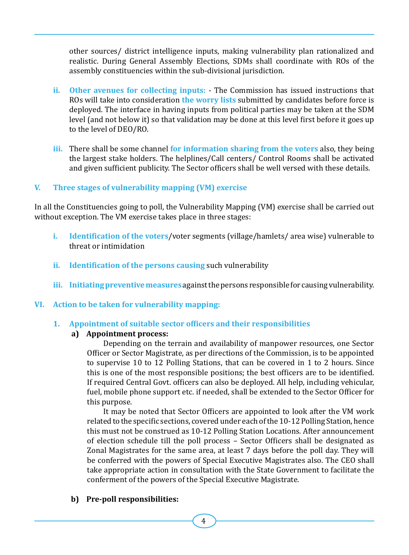other sources/ district intelligence inputs, making vulnerability plan rationalized and realistic. During General Assembly Elections, SDMs shall coordinate with ROs of the assembly constituencies within the sub-divisional jurisdiction.

- **ii. Other avenues for collecting inputs:** The Commission has issued instructions that ROs will take into consideration **the worry lists** submitted by candidates before force is deployed. The interface in having inputs from political parties may be taken at the SDM level (and not below it) so that validation may be done at this level first before it goes up to the level of DEO/RO.
- **iii.** There shall be some channel **for information sharing from the voters** also, they being the largest stake holders. The helplines/Call centers/ Control Rooms shall be activated and given sufficient publicity. The Sector officers shall be well versed with these details.

#### **V. Three stages of vulnerability mapping (VM) exercise**

In all the Constituencies going to poll, the Vulnerability Mapping (VM) exercise shall be carried out without exception. The VM exercise takes place in three stages:

- **i. Identification of the voters**/voter segments (village/hamlets/ area wise) vulnerable to threat or intimidation
- **ii. Identification of the persons causing** such vulnerability
- **iii. Initiating preventive measures**againstthepersons responsiblefor causingvulnerability.
- **VI. Action to be taken for vulnerability mapping:**
	- **1. Appointment of suitable sector officers and their responsibilities**

#### **a) Appointment process:**

Depending on the terrain and availability of manpower resources, one Sector Officer or Sector Magistrate, as per directions of the Commission, is to be appointed to supervise 10 to 12 Polling Stations, that can be covered in 1 to 2 hours. Since this is one of the most responsible positions; the best officers are to be identified. If required Central Govt. officers can also be deployed. All help, including vehicular, fuel, mobile phone support etc. if needed, shall be extended to the Sector Officer for this purpose.

It may be noted that Sector Officers are appointed to look after the VM work related to the specific sections, covered under each of the 10-12 Polling Station, hence this must not be construed as 10-12 Polling Station Locations. After announcement of election schedule till the poll process – Sector Officers shall be designated as Zonal Magistrates for the same area, at least 7 days before the poll day. They will be conferred with the powers of Special Executive Magistrates also. The CEO shall take appropriate action in consultation with the State Government to facilitate the conferment of the powers of the Special Executive Magistrate.

#### **b) Pre-poll responsibilities:**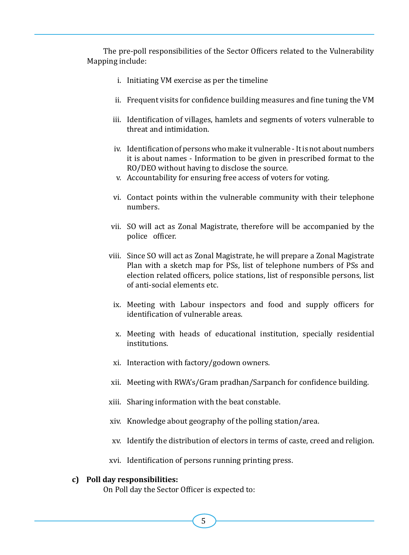The pre-poll responsibilities of the Sector Officers related to the Vulnerability Mapping include:

- i. Initiating VM exercise as per the timeline
- ii. Frequent visits for confidence building measures and fine tuning the VM
- iii. Identification of villages, hamlets and segments of voters vulnerable to threat and intimidation.
- iv. Identification of persons who make it vulnerable It is not about numbers it is about names - Information to be given in prescribed format to the RO/DEO without having to disclose the source.
- v. Accountability for ensuring free access of voters for voting.
- vi. Contact points within the vulnerable community with their telephone numbers.
- vii. SO will act as Zonal Magistrate, therefore will be accompanied by the police officer.
- viii. Since SO will act as Zonal Magistrate, he will prepare a Zonal Magistrate Plan with a sketch map for PSs, list of telephone numbers of PSs and election related officers, police stations, list of responsible persons, list of anti-social elements etc.
	- ix. Meeting with Labour inspectors and food and supply officers for identification of vulnerable areas.
	- x. Meeting with heads of educational institution, specially residential institutions.
	- xi. Interaction with factory/godown owners.
- xii. Meeting with RWA's/Gram pradhan/Sarpanch for confidence building.
- xiii. Sharing information with the beat constable.
- xiv. Knowledge about geography of the polling station/area.
- xv. Identify the distribution of electors in terms of caste, creed and religion.
- xvi. Identification of persons running printing press.

#### **c) Poll day responsibilities:**

On Poll day the Sector Officer is expected to: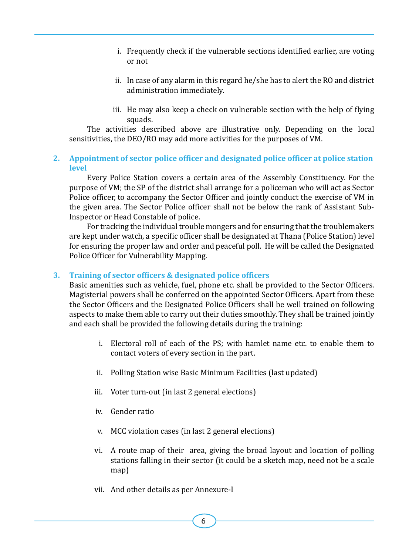- i. Frequently check if the vulnerable sections identified earlier, are voting or not
- ii. In case of any alarm in this regard he/she has to alert the RO and district administration immediately.
- iii. He may also keep a check on vulnerable section with the help of flying squads.

The activities described above are illustrative only. Depending on the local sensitivities, the DEO/RO may add more activities for the purposes of VM.

#### **2. Appointment of sector police officer and designated police officer at police station level**

Every Police Station covers a certain area of the Assembly Constituency. For the purpose of VM; the SP of the district shall arrange for a policeman who will act as Sector Police officer, to accompany the Sector Officer and jointly conduct the exercise of VM in the given area. The Sector Police officer shall not be below the rank of Assistant Sub-Inspector or Head Constable of police.

For tracking the individual trouble mongers and for ensuring that the troublemakers are kept under watch, a specific officer shall be designated at Thana (Police Station) level for ensuring the proper law and order and peaceful poll. He will be called the Designated Police Officer for Vulnerability Mapping.

#### **3. Training of sector officers & designated police officers**

Basic amenities such as vehicle, fuel, phone etc. shall be provided to the Sector Officers. Magisterial powers shall be conferred on the appointed Sector Officers. Apart from these the Sector Officers and the Designated Police Officers shall be well trained on following aspects to make them able to carry out their duties smoothly. They shall be trained jointly and each shall be provided the following details during the training:

- i. Electoral roll of each of the PS; with hamlet name etc. to enable them to contact voters of every section in the part.
- ii. Polling Station wise Basic Minimum Facilities (last updated)
- iii. Voter turn-out (in last 2 general elections)
- iv. Gender ratio
- v. MCC violation cases (in last 2 general elections)
- vi. A route map of their area, giving the broad layout and location of polling stations falling in their sector (it could be a sketch map, need not be a scale map)
- vii. And other details as per Annexure-I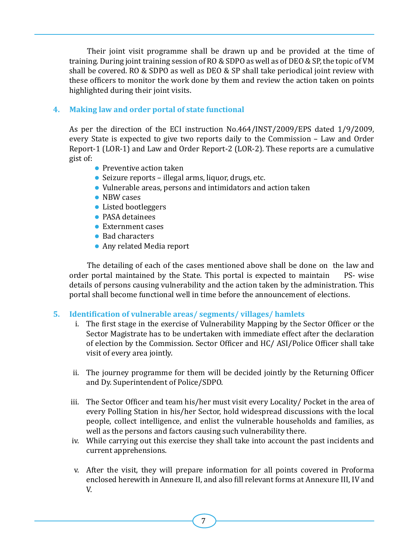Their joint visit programme shall be drawn up and be provided at the time of training. During joint training session of RO & SDPO as well as of DEO & SP, the topic of VM shall be covered. RO & SDPO as well as DEO & SP shall take periodical joint review with these officers to monitor the work done by them and review the action taken on points highlighted during their joint visits.

#### **4. Making law and order portal of state functional**

As per the direction of the ECI instruction No.464/INST/2009/EPS dated 1/9/2009, every State is expected to give two reports daily to the Commission – Law and Order Report-1 (LOR-1) and Law and Order Report-2 (LOR-2). These reports are a cumulative gist of:

- Preventive action taken
- Seizure reports illegal arms, liquor, drugs, etc.
- Vulnerable areas, persons and intimidators and action taken
- NBW cases
- Listed bootleggers
- **PASA detainees**
- Externment cases
- Bad characters
- Any related Media report

The detailing of each of the cases mentioned above shall be done on the law and r portal maintained by the State. This portal is expected to maintain PS- wise order portal maintained by the State. This portal is expected to maintain details of persons causing vulnerability and the action taken by the administration. This portal shall become functional well in time before the announcement of elections.

#### **5. Identification of vulnerable areas/ segments/ villages/ hamlets**

- i. The first stage in the exercise of Vulnerability Mapping by the Sector Officer or the Sector Magistrate has to be undertaken with immediate effect after the declaration of election by the Commission. Sector Officer and HC/ ASI/Police Officer shall take visit of every area jointly.
- ii. The journey programme for them will be decided jointly by the Returning Officer and Dy. Superintendent of Police/SDPO.
- iii. The Sector Officer and team his/her must visit every Locality/ Pocket in the area of every Polling Station in his/her Sector, hold widespread discussions with the local people, collect intelligence, and enlist the vulnerable households and families, as well as the persons and factors causing such vulnerability there.
- iv. While carrying out this exercise they shall take into account the past incidents and current apprehensions.
- v. After the visit, they will prepare information for all points covered in Proforma enclosed herewith in Annexure II, and also fill relevant forms at Annexure III, IV and V.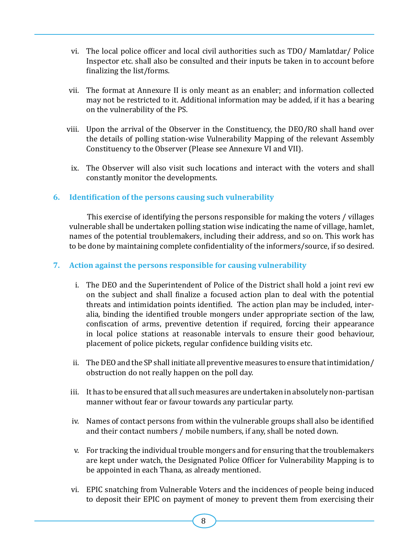- vi. The local police officer and local civil authorities such as TDO/ Mamlatdar/ Police Inspector etc. shall also be consulted and their inputs be taken in to account before finalizing the list/forms.
- vii. The format at Annexure II is only meant as an enabler; and information collected may not be restricted to it. Additional information may be added, if it has a bearing on the vulnerability of the PS.
- viii. Upon the arrival of the Observer in the Constituency, the  $DEO/RO$  shall hand over the details of polling station-wise Vulnerability Mapping of the relevant Assembly Constituency to the Observer (Please see Annexure VI and VII).
- ix. The Observer will also visit such locations and interact with the voters and shall constantly monitor the developments.

#### **6. Identification of the persons causing such vulnerability**

This exercise of identifying the persons responsible for making the voters / villages vulnerable shall be undertaken polling station wise indicating the name of village, hamlet, names of the potential troublemakers, including their address, and so on. This work has to be done by maintaining complete confidentiality of the informers/source, if so desired.

#### **7. Action against the persons responsible for causing vulnerability**

- i. The DEO and the Superintendent of Police of the District shall hold a joint revi ew on the subject and shall finalize a focused action plan to deal with the potential threats and intimidation points identified. The action plan may be included, interalia, binding the identified trouble mongers under appropriate section of the law, confiscation of arms, preventive detention if required, forcing their appearance in local police stations at reasonable intervals to ensure their good behaviour, placement of police pickets, regular confidence building visits etc.
- ii. The DEO and the SP shall initiate all preventive measures to ensure that intimidation/ obstruction do not really happen on the poll day.
- iii. It has to be ensured that all such measures are undertaken in absolutely non-partisan manner without fear or favour towards any particular party.
- iv. Names of contact persons from within the vulnerable groups shall also be identified and their contact numbers / mobile numbers, if any, shall be noted down.
- v. For tracking the individual trouble mongers and for ensuring that the troublemakers are kept under watch, the Designated Police Officer for Vulnerability Mapping is to be appointed in each Thana, as already mentioned.
- vi. EPIC snatching from Vulnerable Voters and the incidences of people being induced to deposit their EPIC on payment of money to prevent them from exercising their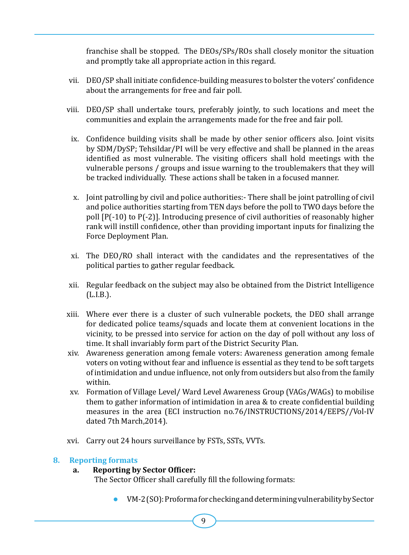franchise shall be stopped. The DEOs/SPs/ROs shall closely monitor the situation and promptly take all appropriate action in this regard.

- vii. DEO/SP shall initiate confidence-building measures to bolster the voters' confidence about the arrangements for free and fair poll.
- viii. DEO/SP shall undertake tours, preferably jointly, to such locations and meet the communities and explain the arrangements made for the free and fair poll.
	- ix. Confidence building visits shall be made by other senior officers also. Joint visits by SDM/DySP; Tehsildar/PI will be very effective and shall be planned in the areas identified as most vulnerable. The visiting officers shall hold meetings with the vulnerable persons / groups and issue warning to the troublemakers that they will be tracked individually. These actions shall be taken in a focused manner.
	- x. Joint patrolling by civil and police authorities:- There shall be joint patrolling of civil and police authorities starting from TEN days before the poll to TWO days before the poll [P(-10) to P(-2)]. Introducing presence of civil authorities of reasonably higher rank will instill confidence, other than providing important inputs for finalizing the Force Deployment Plan.
	- xi. The DEO/RO shall interact with the candidates and the representatives of the political parties to gather regular feedback.
- xii. Regular feedback on the subject may also be obtained from the District Intelligence (L.I.B.).
- xiii. Where ever there is a cluster of such vulnerable pockets, the DEO shall arrange for dedicated police teams/squads and locate them at convenient locations in the vicinity, to be pressed into service for action on the day of poll without any loss of time. It shall invariably form part of the District Security Plan.
- xiv. Awareness generation among female voters: Awareness generation among female voters on voting without fear and influence is essential as they tend to be soft targets of intimidation and undue influence, not only from outsiders but also from the family within.
- xv. Formation of Village Level/ Ward Level Awareness Group (VAGs/WAGs) to mobilise them to gather information of intimidation in area & to create confidential building measures in the area (ECI instruction no.76/INSTRUCTIONS/2014/EEPS//Vol-IV dated 7th March,2014).
- xvi. Carry out 24 hours surveillance by FSTs, SSTs, VVTs.

#### **8. Reporting formats**

#### **a. Reporting by Sector Officer:**

The Sector Officer shall carefully fill the following formats:

 l VM-2(SO):ProformaforcheckinganddeterminingvulnerabilitybySector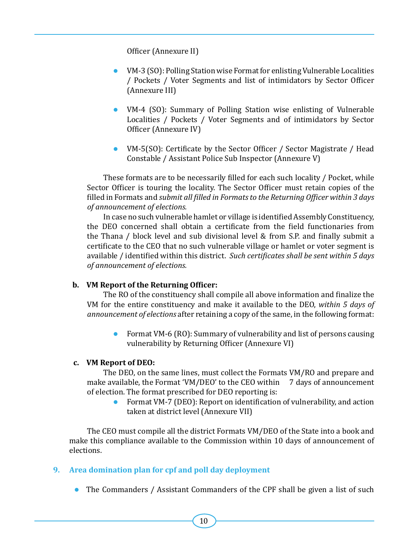Officer (Annexure II)

- VM-3 (SO): Polling Station wise Format for enlisting Vulnerable Localities / Pockets / Voter Segments and list of intimidators by Sector Officer (Annexure III)
- VM-4 (SO): Summary of Polling Station wise enlisting of Vulnerable Localities / Pockets / Voter Segments and of intimidators by Sector Officer (Annexure IV)
- VM-5(SO): Certificate by the Sector Officer / Sector Magistrate / Head Constable / Assistant Police Sub Inspector (Annexure V)

These formats are to be necessarily filled for each such locality / Pocket, while Sector Officer is touring the locality. The Sector Officer must retain copies of the filled in Formats and *submit all filled in Formats to the Returning Officer within 3 days of announcement of elections.*

In case no such vulnerable hamlet or village is identified Assembly Constituency, the DEO concerned shall obtain a certificate from the field functionaries from the Thana / block level and sub divisional level & from S.P. and finally submit a certificate to the CEO that no such vulnerable village or hamlet or voter segment is available / identified within this district. *Such certificates shall be sent within 5 days of announcement of elections.*

#### **b. VM Report of the Returning Officer:**

The RO of the constituency shall compile all above information and finalize the VM for the entire constituency and make it available to the DEO, *within 5 days of announcement of elections* after retaining a copy of the same, in the following format:

**•** Format VM-6 (RO): Summary of vulnerability and list of persons causing vulnerability by Returning Officer (Annexure VI)

#### **c. VM Report of DEO:**

The DEO, on the same lines, must collect the Formats VM/RO and prepare and make available, the Format 'VM/DEO' to the CEO within 7 days of announcement of election. The format prescribed for DEO reporting is:

Format VM-7 (DEO): Report on identification of vulnerability, and action taken at district level (Annexure VII)

The CEO must compile all the district Formats VM/DEO of the State into a book and make this compliance available to the Commission within 10 days of announcement of elections.

#### **9. Area domination plan for cpf and poll day deployment**

 $\bullet$  The Commanders / Assistant Commanders of the CPF shall be given a list of such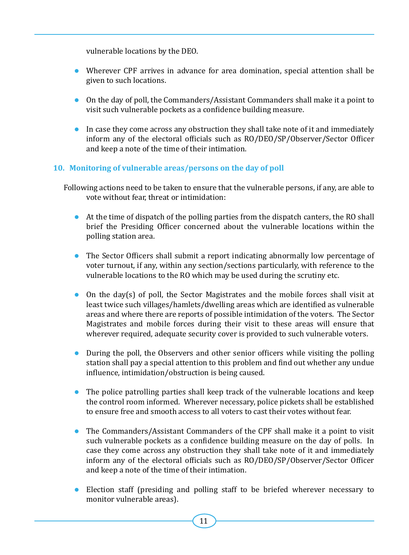vulnerable locations by the DEO.

- Wherever CPF arrives in advance for area domination, special attention shall be given to such locations.
- On the day of poll, the Commanders/Assistant Commanders shall make it a point to visit such vulnerable pockets as a confidence building measure.
- $\bullet$  In case they come across any obstruction they shall take note of it and immediately inform any of the electoral officials such as RO/DEO/SP/Observer/Sector Officer and keep a note of the time of their intimation.

#### **10. Monitoring of vulnerable areas/persons on the day of poll**

Following actions need to be taken to ensure that the vulnerable persons, if any, are able to vote without fear, threat or intimidation:

- $\bullet$  At the time of dispatch of the polling parties from the dispatch canters, the RO shall brief the Presiding Officer concerned about the vulnerable locations within the polling station area.
- The Sector Officers shall submit a report indicating abnormally low percentage of voter turnout, if any, within any section/sections particularly, with reference to the vulnerable locations to the RO which may be used during the scrutiny etc.
- $\bullet$  On the day(s) of poll, the Sector Magistrates and the mobile forces shall visit at least twice such villages/hamlets/dwelling areas which are identified as vulnerable areas and where there are reports of possible intimidation of the voters. The Sector Magistrates and mobile forces during their visit to these areas will ensure that wherever required, adequate security cover is provided to such vulnerable voters.
- During the poll, the Observers and other senior officers while visiting the polling station shall pay a special attention to this problem and find out whether any undue influence, intimidation/obstruction is being caused.
- The police patrolling parties shall keep track of the vulnerable locations and keep the control room informed. Wherever necessary, police pickets shall be established to ensure free and smooth access to all voters to cast their votes without fear.
- $\bullet$  The Commanders/Assistant Commanders of the CPF shall make it a point to visit such vulnerable pockets as a confidence building measure on the day of polls. In case they come across any obstruction they shall take note of it and immediately inform any of the electoral officials such as RO/DEO/SP/Observer/Sector Officer and keep a note of the time of their intimation.
- Election staff (presiding and polling staff to be briefed wherever necessary to monitor vulnerable areas).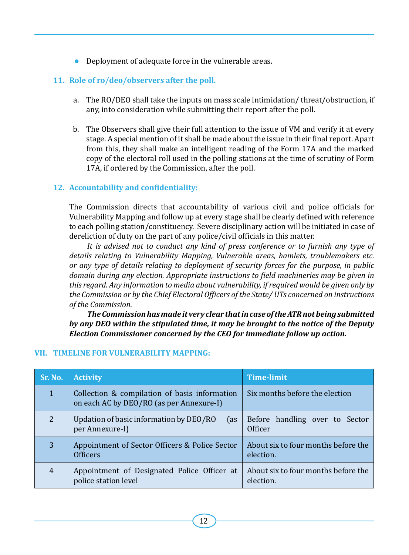**•** Deployment of adequate force in the vulnerable areas.

#### **11. Role of ro/deo/observers after the poll.**

- a. The RO/DEO shall take the inputs on mass scale intimidation/ threat/obstruction, if any, into consideration while submitting their report after the poll.
- b. The Observers shall give their full attention to the issue of VM and verify it at every stage. A special mention of it shall be made about the issue in their final report. Apart from this, they shall make an intelligent reading of the Form 17A and the marked copy of the electoral roll used in the polling stations at the time of scrutiny of Form 17A, if ordered by the Commission, after the poll.

#### **12. Accountability and confidentiality:**

The Commission directs that accountability of various civil and police officials for Vulnerability Mapping and follow up at every stage shall be clearly defined with reference to each polling station/constituency. Severe disciplinary action will be initiated in case of dereliction of duty on the part of any police/civil officials in this matter.

*It is advised not to conduct any kind of press conference or to furnish any type of details relating to Vulnerability Mapping, Vulnerable areas, hamlets, troublemakers etc. or any type of details relating to deployment of security forces for the purpose, in public domain during any election. Appropriate instructions to field machineries may be given in this regard. Any information to media about vulnerability, if required would be given only by the Commission or by the Chief Electoral Officers of the State/ UTs concerned on instructions of the Commission.*

*The Commission has made it very clear that in case of the ATR not being submitted by any DEO within the stipulated time, it may be brought to the notice of the Deputy Election Commissioner concerned by the CEO for immediate follow up action.*

| Sr. No.        | <b>Activity</b>                                                                           | <b>Time-limit</b>                                |
|----------------|-------------------------------------------------------------------------------------------|--------------------------------------------------|
| $\mathbf{1}$   | Collection & compilation of basis information<br>on each AC by DEO/RO (as per Annexure-I) | Six months before the election                   |
| $\overline{2}$ | Updation of basic information by DEO/RO<br>(as<br>per Annexure-I)                         | Before handling over to Sector<br>Officer        |
| 3              | Appointment of Sector Officers & Police Sector<br><b>Officers</b>                         | About six to four months before the<br>election. |
| $\overline{4}$ | Appointment of Designated Police Officer at<br>police station level                       | About six to four months before the<br>election. |

#### **VII. TIMELINE FOR VULNERABILITY MAPPING:**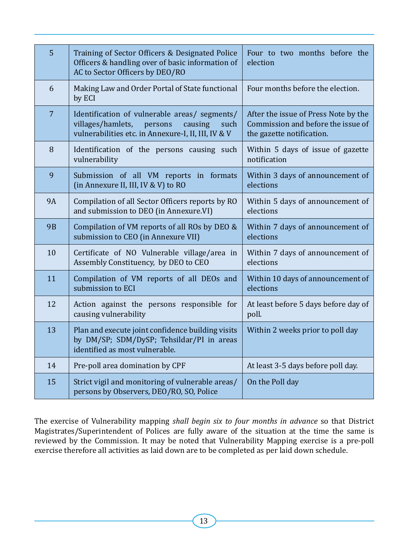| 5              | Training of Sector Officers & Designated Police<br>Officers & handling over of basic information of<br>AC to Sector Officers by DEO/RO                  | Four to two months before the<br>election                                                               |
|----------------|---------------------------------------------------------------------------------------------------------------------------------------------------------|---------------------------------------------------------------------------------------------------------|
| 6              | Making Law and Order Portal of State functional<br>by ECI                                                                                               | Four months before the election.                                                                        |
| $\overline{7}$ | Identification of vulnerable areas/ segments/<br>villages/hamlets,<br>persons<br>causing<br>such<br>vulnerabilities etc. in Annexure-I, II, III, IV & V | After the issue of Press Note by the<br>Commission and before the issue of<br>the gazette notification. |
| 8              | Identification of the persons causing such<br>vulnerability                                                                                             | Within 5 days of issue of gazette<br>notification                                                       |
| 9              | Submission of all VM reports in formats<br>(in Annexure II, III, IV & V) to RO                                                                          | Within 3 days of announcement of<br>elections                                                           |
| <b>9A</b>      | Compilation of all Sector Officers reports by RO<br>and submission to DEO (in Annexure.VI)                                                              | Within 5 days of announcement of<br>elections                                                           |
| <b>9B</b>      | Compilation of VM reports of all ROs by DEO &<br>submission to CEO (in Annexure VII)                                                                    | Within 7 days of announcement of<br>elections                                                           |
| 10             | Certificate of NO Vulnerable village/area in<br>Assembly Constituency, by DEO to CEO                                                                    | Within 7 days of announcement of<br>elections                                                           |
| 11             | Compilation of VM reports of all DEOs and<br>submission to ECI                                                                                          | Within 10 days of announcement of<br>elections                                                          |
| 12             | Action against the persons responsible for<br>causing vulnerability                                                                                     | At least before 5 days before day of<br>poll.                                                           |
| 13             | Plan and execute joint confidence building visits<br>by DM/SP; SDM/DySP; Tehsildar/PI in areas<br>identified as most vulnerable.                        | Within 2 weeks prior to poll day                                                                        |
| 14             | Pre-poll area domination by CPF                                                                                                                         | At least 3-5 days before poll day.                                                                      |
| 15             | Strict vigil and monitoring of vulnerable areas/<br>persons by Observers, DEO/RO, SO, Police                                                            | On the Poll day                                                                                         |

The exercise of Vulnerability mapping *shall begin six to four months in advance* so that District Magistrates/Superintendent of Polices are fully aware of the situation at the time the same is reviewed by the Commission. It may be noted that Vulnerability Mapping exercise is a pre-poll exercise therefore all activities as laid down are to be completed as per laid down schedule.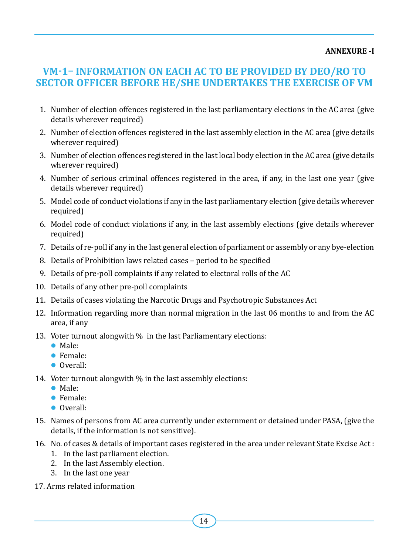#### **ANNEXURE -I**

#### **VM-1– Information on each AC to be provided by DEO/RO to Sector Officer before he/she undertakes the exercise of VM**

- 1. Number of election offences registered in the last parliamentary elections in the AC area (give details wherever required)
- 2. Number of election offences registered in the last assembly election in the AC area (give details wherever required)
- 3. Number of election offences registered in the last local body election in the AC area (give details wherever required)
- 4. Number of serious criminal offences registered in the area, if any, in the last one year (give details wherever required)
- 5. Model code of conduct violations if any in the last parliamentary election (give details wherever required)
- 6. Model code of conduct violations if any, in the last assembly elections (give details wherever required)
- 7. Details of re-poll if any in the last general election of parliament or assembly or any bye-election
- 8. Details of Prohibition laws related cases period to be specified
- 9. Details of pre-poll complaints if any related to electoral rolls of the AC
- 10. Details of any other pre-poll complaints
- 11. Details of cases violating the Narcotic Drugs and Psychotropic Substances Act
- 12. Information regarding more than normal migration in the last 06 months to and from the AC area, if any
- 13. Voter turnout alongwith % in the last Parliamentary elections:
	- Male:
	- **•** Female:
	- Overall:
- 14. Voter turnout alongwith  $\%$  in the last assembly elections:
	- $\bullet$  Male:
	- **•** Female:
	- **Overall**
- 15. Names of persons from AC area currently under externment or detained under PASA, (give the details, if the information is not sensitive).
- 16. No. of cases & details of important cases registered in the area under relevant State Excise Act :
	- 1. In the last parliament election.
	- 2. In the last Assembly election.
	- 3. In the last one year
- 17. Arms related information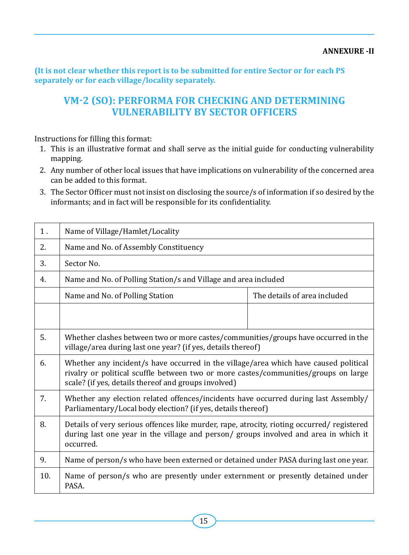**(It is not clear whether this report is to be submitted for entire Sector or for each PS separately or for each village/locality separately.**

#### **VM-2 (SO): Performa for checking and determining vulnerability by Sector Officers**

Instructions for filling this format:

- 1. This is an illustrative format and shall serve as the initial guide for conducting vulnerability mapping.
- 2. Any number of other local issues that have implications on vulnerability of the concerned area can be added to this format.
- 3. The Sector Officer must not insist on disclosing the source/s of information if so desired by the informants; and in fact will be responsible for its confidentiality.

| 1.  | Name of Village/Hamlet/Locality                                                                                                                                                                                                     |  |  |
|-----|-------------------------------------------------------------------------------------------------------------------------------------------------------------------------------------------------------------------------------------|--|--|
| 2.  | Name and No. of Assembly Constituency                                                                                                                                                                                               |  |  |
| 3.  | Sector No.                                                                                                                                                                                                                          |  |  |
| 4.  | Name and No. of Polling Station/s and Village and area included                                                                                                                                                                     |  |  |
|     | The details of area included<br>Name and No. of Polling Station                                                                                                                                                                     |  |  |
|     |                                                                                                                                                                                                                                     |  |  |
| 5.  | Whether clashes between two or more castes/communities/groups have occurred in the<br>village/area during last one year? (if yes, details thereof)                                                                                  |  |  |
| 6.  | Whether any incident/s have occurred in the village/area which have caused political<br>rivalry or political scuffle between two or more castes/communities/groups on large<br>scale? (if yes, details thereof and groups involved) |  |  |
| 7.  | Whether any election related offences/incidents have occurred during last Assembly/<br>Parliamentary/Local body election? (if yes, details thereof)                                                                                 |  |  |
| 8.  | Details of very serious offences like murder, rape, atrocity, rioting occurred/registered<br>during last one year in the village and person/groups involved and area in which it<br>occurred.                                       |  |  |
| 9.  | Name of person/s who have been externed or detained under PASA during last one year.                                                                                                                                                |  |  |
| 10. | Name of person/s who are presently under externment or presently detained under<br>PASA.                                                                                                                                            |  |  |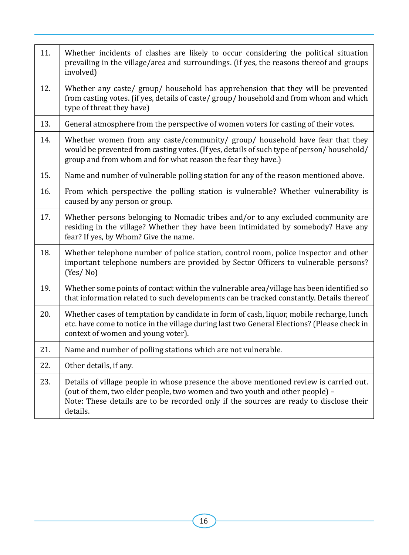| 11. | Whether incidents of clashes are likely to occur considering the political situation<br>prevailing in the village/area and surroundings. (if yes, the reasons thereof and groups<br>involved)                                                                               |
|-----|-----------------------------------------------------------------------------------------------------------------------------------------------------------------------------------------------------------------------------------------------------------------------------|
| 12. | Whether any caste/ group/ household has apprehension that they will be prevented<br>from casting votes. (if yes, details of caste/group/household and from whom and which<br>type of threat they have)                                                                      |
| 13. | General atmosphere from the perspective of women voters for casting of their votes.                                                                                                                                                                                         |
| 14. | Whether women from any caste/community/ group/ household have fear that they<br>would be prevented from casting votes. (If yes, details of such type of person/household/<br>group and from whom and for what reason the fear they have.)                                   |
| 15. | Name and number of vulnerable polling station for any of the reason mentioned above.                                                                                                                                                                                        |
| 16. | From which perspective the polling station is vulnerable? Whether vulnerability is<br>caused by any person or group.                                                                                                                                                        |
| 17. | Whether persons belonging to Nomadic tribes and/or to any excluded community are<br>residing in the village? Whether they have been intimidated by somebody? Have any<br>fear? If yes, by Whom? Give the name.                                                              |
| 18. | Whether telephone number of police station, control room, police inspector and other<br>important telephone numbers are provided by Sector Officers to vulnerable persons?<br>(Yes/No)                                                                                      |
| 19. | Whether some points of contact within the vulnerable area/village has been identified so<br>that information related to such developments can be tracked constantly. Details thereof                                                                                        |
| 20. | Whether cases of temptation by candidate in form of cash, liquor, mobile recharge, lunch<br>etc. have come to notice in the village during last two General Elections? (Please check in<br>context of women and young voter).                                               |
| 21. | Name and number of polling stations which are not vulnerable.                                                                                                                                                                                                               |
| 22. | Other details, if any.                                                                                                                                                                                                                                                      |
| 23. | Details of village people in whose presence the above mentioned review is carried out.<br>(out of them, two elder people, two women and two youth and other people) -<br>Note: These details are to be recorded only if the sources are ready to disclose their<br>details. |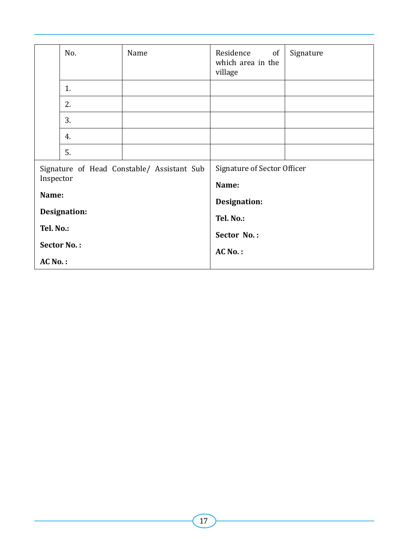|                               | No.       | Name                                       | Residence<br>of<br>which area in the<br>village | Signature |
|-------------------------------|-----------|--------------------------------------------|-------------------------------------------------|-----------|
|                               | 1.        |                                            |                                                 |           |
|                               | 2.        |                                            |                                                 |           |
|                               | 3.        |                                            |                                                 |           |
|                               | 4.        |                                            |                                                 |           |
|                               | 5.        |                                            |                                                 |           |
|                               |           | Signature of Head Constable/ Assistant Sub | Signature of Sector Officer                     |           |
|                               | Inspector |                                            | Name:                                           |           |
|                               | Name:     |                                            | Designation:                                    |           |
| Designation:                  |           | Tel. No.:                                  |                                                 |           |
| Tel. No.:                     |           |                                            | Sector No.:                                     |           |
| <b>Sector No.:</b><br>AC No.: |           | $AC$ No.:                                  |                                                 |           |
|                               |           |                                            |                                                 |           |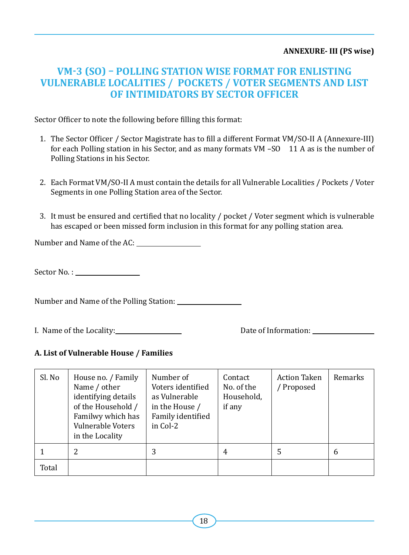#### **ANNEXURE- III (PS wise)**

#### **VM-3 (SO) – Polling Station wise Format for enlisting Vulnerable Localities / Pockets / Voter Segments and list of intimidators by Sector Officer**

Sector Officer to note the following before filling this format:

- 1. The Sector Officer / Sector Magistrate has to fill a different Format VM/SO-II A (Annexure-III) for each Polling station in his Sector, and as many formats  $VM$  –SO 11 A as is the number of Polling Stations in his Sector.
- 2. Each Format VM/SO-II A must contain the details for all Vulnerable Localities / Pockets / Voter Segments in one Polling Station area of the Sector.
- 3. It must be ensured and certified that no locality / pocket / Voter segment which is vulnerable has escaped or been missed form inclusion in this format for any polling station area.

Number and Name of the AC:

Sector No. :

Number and Name of the Polling Station:

I. Name of the Locality: Date of Information:

#### **A. List of Vulnerable House / Families**

| Sl. No | House no. / Family<br>Name / other<br>identifying details<br>of the Household /<br>Familwy which has<br>Vulnerable Voters<br>in the Locality | Number of<br>Voters identified<br>as Vulnerable<br>in the House /<br>Family identified<br>in Col-2 | Contact<br>No. of the<br>Household,<br>if any | <b>Action Taken</b><br>/ Proposed | Remarks |
|--------|----------------------------------------------------------------------------------------------------------------------------------------------|----------------------------------------------------------------------------------------------------|-----------------------------------------------|-----------------------------------|---------|
|        | 2                                                                                                                                            | 3                                                                                                  | 4                                             | 5                                 | 6       |
| Total  |                                                                                                                                              |                                                                                                    |                                               |                                   |         |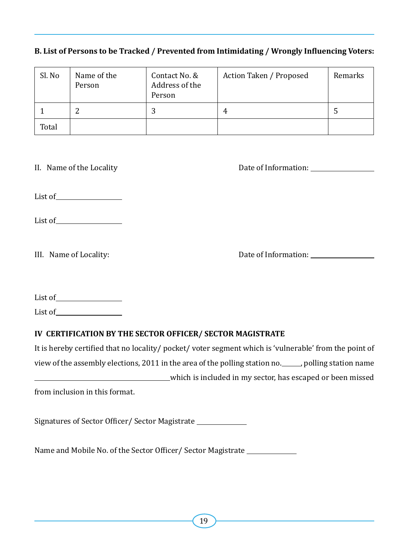#### **B. List of Persons to be Tracked / Prevented from Intimidating / Wrongly Influencing Voters:**

| Sl. No | Name of the<br>Person | Contact No. &<br>Address of the<br>Person | Action Taken / Proposed | Remarks |
|--------|-----------------------|-------------------------------------------|-------------------------|---------|
|        | ▵                     | 3                                         | 4                       | Ь       |
| Total  |                       |                                           |                         |         |

II. Name of the Locality **Solution:** Date of Information:

List of

List of

III. Name of Locality:  $\qquad \qquad$  Date of Information:  $\qquad \qquad$ 

| List of |  |
|---------|--|
| List of |  |

#### **IV CERTIFICATION BY THE SECTOR OFFICER/ SECTOR MAGISTRATE**

It is hereby certified that no locality/ pocket/ voter segment which is 'vulnerable' from the point of view of the assembly elections, 2011 in the area of the polling station no. \_\_\_\_\_, polling station name which is included in my sector, has escaped or been missed from inclusion in this format.

Signatures of Sector Officer/ Sector Magistrate

Name and Mobile No. of the Sector Officer/ Sector Magistrate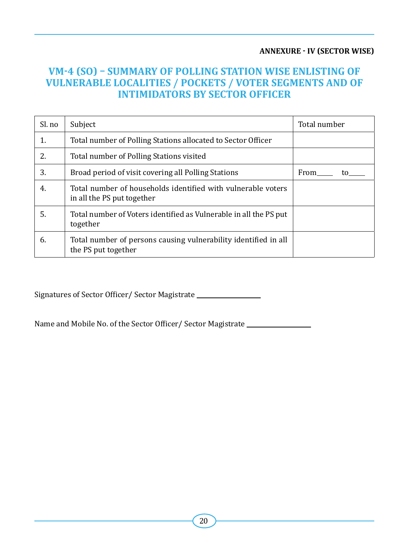#### **ANNEXURE - IV (Sector wise)**

#### **VM-4 (SO) – Summary of Polling Station wise enlisting of Vulnerable Localities / Pockets / Voter Segments and of intimidators by Sector Officer**

| Sl. no | Subject                                                                                    | Total number |  |
|--------|--------------------------------------------------------------------------------------------|--------------|--|
| 1.     | Total number of Polling Stations allocated to Sector Officer                               |              |  |
| 2.     | Total number of Polling Stations visited                                                   |              |  |
| 3.     | Broad period of visit covering all Polling Stations                                        | From<br>tο   |  |
| 4.     | Total number of households identified with vulnerable voters<br>in all the PS put together |              |  |
| 5.     | Total number of Voters identified as Vulnerable in all the PS put<br>together              |              |  |
| 6.     | Total number of persons causing vulnerability identified in all<br>the PS put together     |              |  |

Signatures of Sector Officer/ Sector Magistrate

Name and Mobile No. of the Sector Officer/ Sector Magistrate \_\_\_\_\_\_\_\_\_\_\_\_\_\_\_\_\_\_\_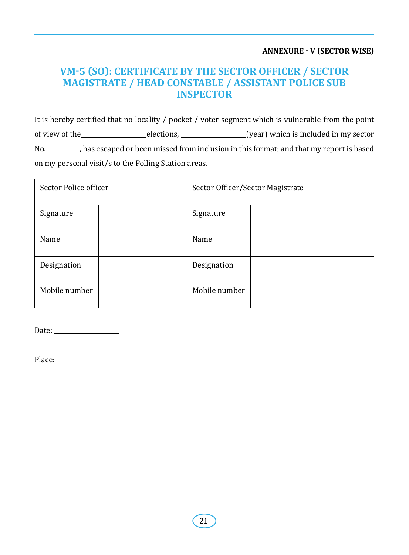#### **ANNEXURE - V (Sector wise)**

#### **VM-5 (SO): Certificate by the Sector Officer / Sector Magistrate / Head Constable / Assistant Police Sub Inspector**

It is hereby certified that no locality / pocket / voter segment which is vulnerable from the point of view of the elections, elections, elections, elections elections and the elections of view of the elections, No. \_\_\_\_\_\_\_\_, has escaped or been missed from inclusion in this format; and that my report is based on my personal visit/s to the Polling Station areas.

| Sector Police officer | Sector Officer/Sector Magistrate |  |  |
|-----------------------|----------------------------------|--|--|
| Signature             | Signature                        |  |  |
| Name                  | Name                             |  |  |
| Designation           | Designation                      |  |  |
| Mobile number         | Mobile number                    |  |  |

Date:

Place: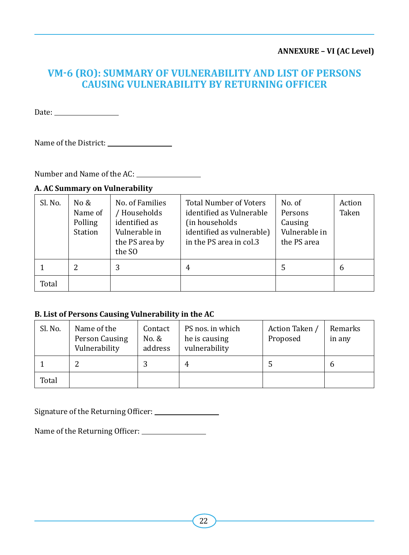#### **ANNEXURE – VI (AC Level)**

#### **VM-6 (RO): Summary of vulnerability and list of persons causing vulnerability by Returning Officer**

Date:

Name of the District:

Number and Name of the AC:

#### **A. AC Summary on Vulnerability**

| Sl. No. | No $\&$<br>Name of<br>Polling<br>Station | No. of Families<br>/ Households<br>identified as<br>Vulnerable in<br>the PS area by<br>the SO | <b>Total Number of Voters</b><br>identified as Vulnerable<br>(in households<br>identified as vulnerable)<br>in the PS area in col.3 | No. of<br>Persons<br>Causing<br>Vulnerable in<br>the PS area | Action<br>Taken |
|---------|------------------------------------------|-----------------------------------------------------------------------------------------------|-------------------------------------------------------------------------------------------------------------------------------------|--------------------------------------------------------------|-----------------|
|         | 2                                        | 3                                                                                             | 4                                                                                                                                   | 5                                                            | 6               |
| Total   |                                          |                                                                                               |                                                                                                                                     |                                                              |                 |

#### **B. List of Persons Causing Vulnerability in the AC**

| Sl. No. | Name of the<br>Person Causing<br>Vulnerability | Contact<br>No. &<br>address | PS nos. in which<br>he is causing<br>vulnerability | Action Taken /<br>Proposed | Remarks<br>in any |
|---------|------------------------------------------------|-----------------------------|----------------------------------------------------|----------------------------|-------------------|
|         |                                                |                             | 4                                                  |                            | h                 |
| Total   |                                                |                             |                                                    |                            |                   |

Signature of the Returning Officer:

Name of the Returning Officer: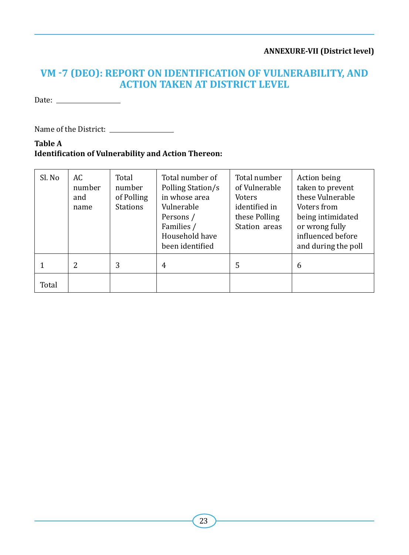#### **ANNEXURE-VII (District level)**

#### **VM -7 (DEO): Report on identification of vulnerability, and action taken at district level**

Date:

Name of the District:

**Table A Identification of Vulnerability and Action Thereon:**

| Sl. No | AC.<br>number<br>and<br>name | Total<br>number<br>of Polling<br><b>Stations</b> | Total number of<br>Polling Station/s<br>in whose area<br>Vulnerable<br>Persons /<br>Families /<br>Household have<br>been identified | Total number<br>of Vulnerable<br><b>Voters</b><br>identified in<br>these Polling<br>Station areas | Action being<br>taken to prevent<br>these Vulnerable<br>Voters from<br>being intimidated<br>or wrong fully<br>influenced before<br>and during the poll |
|--------|------------------------------|--------------------------------------------------|-------------------------------------------------------------------------------------------------------------------------------------|---------------------------------------------------------------------------------------------------|--------------------------------------------------------------------------------------------------------------------------------------------------------|
|        | 2                            | 3                                                | $\overline{4}$                                                                                                                      | 5                                                                                                 | 6                                                                                                                                                      |
| Total  |                              |                                                  |                                                                                                                                     |                                                                                                   |                                                                                                                                                        |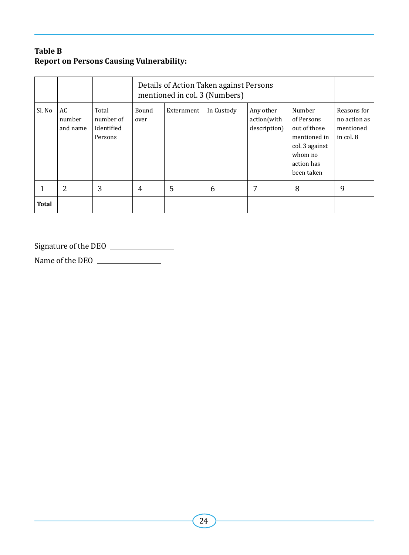#### **Table B Report on Persons Causing Vulnerability:**

|        |                          |                                             | Details of Action Taken against Persons<br>mentioned in col. 3 (Numbers) |            |            |                                          |                                                                                                               |                                                       |
|--------|--------------------------|---------------------------------------------|--------------------------------------------------------------------------|------------|------------|------------------------------------------|---------------------------------------------------------------------------------------------------------------|-------------------------------------------------------|
| Sl. No | AC<br>number<br>and name | Total<br>number of<br>Identified<br>Persons | Bound<br>over                                                            | Externment | In Custody | Any other<br>action(with<br>description) | Number<br>of Persons<br>out of those<br>mentioned in<br>col. 3 against<br>whom no<br>action has<br>been taken | Reasons for<br>no action as<br>mentioned<br>in col. 8 |
|        | 2                        | 3                                           | $\overline{4}$                                                           | 5          | 6          | 7                                        | 8                                                                                                             | 9                                                     |
| Total  |                          |                                             |                                                                          |            |            |                                          |                                                                                                               |                                                       |

Signature of the DEO

Name of the DEO \_\_\_\_\_\_\_\_\_\_\_\_\_\_\_\_\_